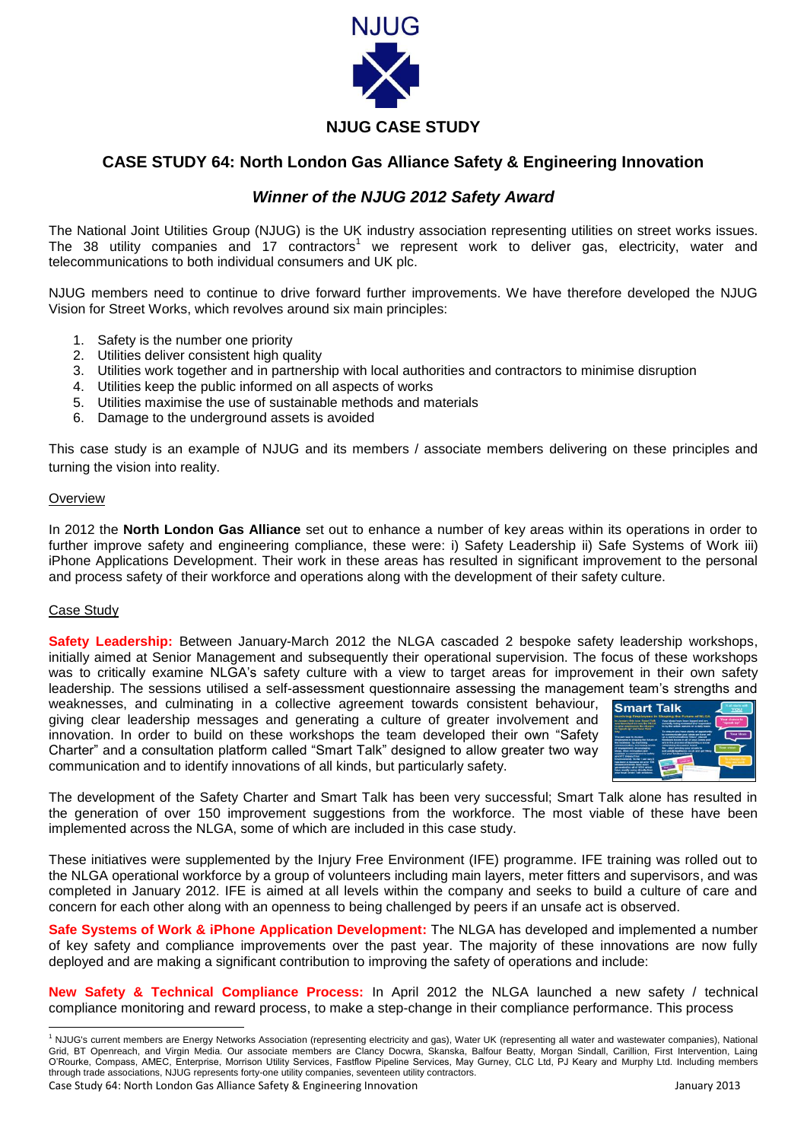

# **NJUG CASE STUDY**

# **CASE STUDY 64: North London Gas Alliance Safety & Engineering Innovation**

# *Winner of the NJUG 2012 Safety Award*

The National Joint Utilities Group (NJUG) is the UK industry association representing utilities on street works issues. The 38 utility companies and 17 contractors<sup>1</sup> we represent work to deliver gas, electricity, water and telecommunications to both individual consumers and UK plc.

NJUG members need to continue to drive forward further improvements. We have therefore developed the NJUG Vision for Street Works, which revolves around six main principles:

- 1. Safety is the number one priority
- 2. Utilities deliver consistent high quality
- 3. Utilities work together and in partnership with local authorities and contractors to minimise disruption
- 4. Utilities keep the public informed on all aspects of works
- 5. Utilities maximise the use of sustainable methods and materials
- 6. Damage to the underground assets is avoided

This case study is an example of NJUG and its members / associate members delivering on these principles and turning the vision into reality.

#### **Overview**

In 2012 the **North London Gas Alliance** set out to enhance a number of key areas within its operations in order to further improve safety and engineering compliance, these were: i) Safety Leadership ii) Safe Systems of Work iii) iPhone Applications Development. Their work in these areas has resulted in significant improvement to the personal and process safety of their workforce and operations along with the development of their safety culture.

### Case Study

**.** 

**Safety Leadership:** Between January-March 2012 the NLGA cascaded 2 bespoke safety leadership workshops, initially aimed at Senior Management and subsequently their operational supervision. The focus of these workshops was to critically examine NLGA's safety culture with a view to target areas for improvement in their own safety leadership. The sessions utilised a self-assessment questionnaire assessing the management team's strengths and

weaknesses, and culminating in a collective agreement towards consistent behaviour, giving clear leadership messages and generating a culture of greater involvement and innovation. In order to build on these workshops the team developed their own "Safety Charter" and a consultation platform called "Smart Talk" designed to allow greater two way communication and to identify innovations of all kinds, but particularly safety.



The development of the Safety Charter and Smart Talk has been very successful; Smart Talk alone has resulted in the generation of over 150 improvement suggestions from the workforce. The most viable of these have been implemented across the NLGA, some of which are included in this case study.

These initiatives were supplemented by the Injury Free Environment (IFE) programme. IFE training was rolled out to the NLGA operational workforce by a group of volunteers including main layers, meter fitters and supervisors, and was completed in January 2012. IFE is aimed at all levels within the company and seeks to build a culture of care and concern for each other along with an openness to being challenged by peers if an unsafe act is observed.

**Safe Systems of Work & iPhone Application Development:** The NLGA has developed and implemented a number of key safety and compliance improvements over the past year. The majority of these innovations are now fully deployed and are making a significant contribution to improving the safety of operations and include:

**New Safety & Technical Compliance Process:** In April 2012 the NLGA launched a new safety / technical compliance monitoring and reward process, to make a step-change in their compliance performance. This process

Case Study 64: North London Gas Alliance Safety & Engineering Innovation January 2013 <sup>1</sup> NJUG's current members are Energy Networks Association (representing electricity and gas), Water UK (representing all water and wastewater companies), National Grid, BT Openreach, and Virgin Media. Our associate members are Clancy Docwra, Skanska, Balfour Beatty, Morgan Sindall, Carillion, First Intervention, Laing O'Rourke, Compass, AMEC, Enterprise, Morrison Utility Services, Fastflow Pipeline Services, May Gurney, CLC Ltd, PJ Keary and Murphy Ltd. Including members through trade associations, NJUG represents forty-one utility companies, seventeen utility contractors.